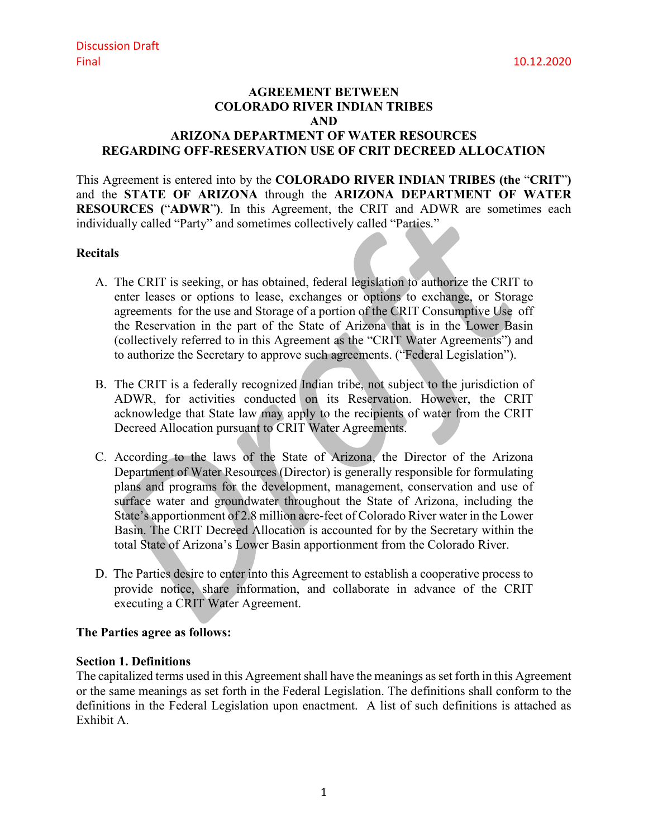# **AGREEMENT BETWEEN COLORADO RIVER INDIAN TRIBES AND**

## **ARIZONA DEPARTMENT OF WATER RESOURCES REGARDING OFF-RESERVATION USE OF CRIT DECREED ALLOCATION**

This Agreement is entered into by the **COLORADO RIVER INDIAN TRIBES (the** "**CRIT**"**)**  and the **STATE OF ARIZONA** through the **ARIZONA DEPARTMENT OF WATER RESOURCES (**"**ADWR**"**)**. In this Agreement, the CRIT and ADWR are sometimes each individually called "Party" and sometimes collectively called "Parties."

#### **Recitals**

- A. The CRIT is seeking, or has obtained, federal legislation to authorize the CRIT to enter leases or options to lease, exchanges or options to exchange, or Storage agreements for the use and Storage of a portion of the CRIT Consumptive Use off the Reservation in the part of the State of Arizona that is in the Lower Basin (collectively referred to in this Agreement as the "CRIT Water Agreements") and to authorize the Secretary to approve such agreements. ("Federal Legislation").
- B. The CRIT is a federally recognized Indian tribe, not subject to the jurisdiction of ADWR, for activities conducted on its Reservation. However, the CRIT acknowledge that State law may apply to the recipients of water from the CRIT Decreed Allocation pursuant to CRIT Water Agreements.
- C. According to the laws of the State of Arizona, the Director of the Arizona Department of Water Resources (Director) is generally responsible for formulating plans and programs for the development, management, conservation and use of surface water and groundwater throughout the State of Arizona, including the State's apportionment of 2.8 million acre-feet of Colorado River water in the Lower Basin. The CRIT Decreed Allocation is accounted for by the Secretary within the total State of Arizona's Lower Basin apportionment from the Colorado River.
- D. The Parties desire to enter into this Agreement to establish a cooperative process to provide notice, share information, and collaborate in advance of the CRIT executing a CRIT Water Agreement.

### **The Parties agree as follows:**

#### **Section 1. Definitions**

The capitalized terms used in this Agreement shall have the meanings as set forth in this Agreement or the same meanings as set forth in the Federal Legislation. The definitions shall conform to the definitions in the Federal Legislation upon enactment. A list of such definitions is attached as Exhibit A.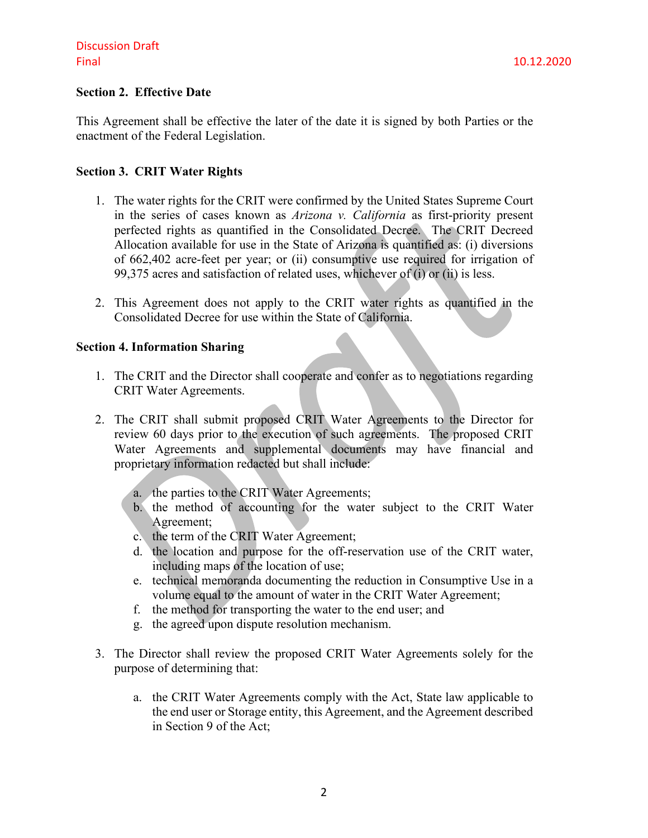## **Section 2. Effective Date**

This Agreement shall be effective the later of the date it is signed by both Parties or the enactment of the Federal Legislation.

#### **Section 3. CRIT Water Rights**

- 1. The water rights for the CRIT were confirmed by the United States Supreme Court in the series of cases known as *Arizona v. California* as first-priority present perfected rights as quantified in the Consolidated Decree. The CRIT Decreed Allocation available for use in the State of Arizona is quantified as: (i) diversions of 662,402 acre-feet per year; or (ii) consumptive use required for irrigation of 99,375 acres and satisfaction of related uses, whichever of (i) or (ii) is less.
- 2. This Agreement does not apply to the CRIT water rights as quantified in the Consolidated Decree for use within the State of California.

#### **Section 4. Information Sharing**

- 1. The CRIT and the Director shall cooperate and confer as to negotiations regarding CRIT Water Agreements.
- 2. The CRIT shall submit proposed CRIT Water Agreements to the Director for review 60 days prior to the execution of such agreements. The proposed CRIT Water Agreements and supplemental documents may have financial and proprietary information redacted but shall include:
	- a. the parties to the CRIT Water Agreements;
	- b. the method of accounting for the water subject to the CRIT Water Agreement;
	- c. the term of the CRIT Water Agreement;
	- d. the location and purpose for the off-reservation use of the CRIT water, including maps of the location of use;
	- e. technical memoranda documenting the reduction in Consumptive Use in a volume equal to the amount of water in the CRIT Water Agreement;
	- f. the method for transporting the water to the end user; and
	- g. the agreed upon dispute resolution mechanism.
- 3. The Director shall review the proposed CRIT Water Agreements solely for the purpose of determining that:
	- a. the CRIT Water Agreements comply with the Act, State law applicable to the end user or Storage entity, this Agreement, and the Agreement described in Section 9 of the Act;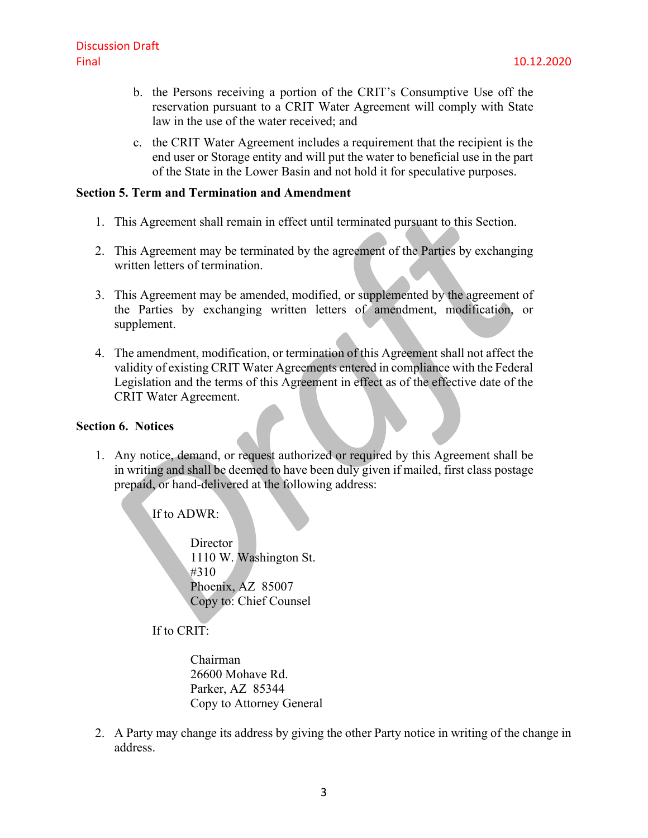- b. the Persons receiving a portion of the CRIT's Consumptive Use off the reservation pursuant to a CRIT Water Agreement will comply with State law in the use of the water received; and
- c. the CRIT Water Agreement includes a requirement that the recipient is the end user or Storage entity and will put the water to beneficial use in the part of the State in the Lower Basin and not hold it for speculative purposes.

#### **Section 5. Term and Termination and Amendment**

- 1. This Agreement shall remain in effect until terminated pursuant to this Section.
- 2. This Agreement may be terminated by the agreement of the Parties by exchanging written letters of termination.
- 3. This Agreement may be amended, modified, or supplemented by the agreement of the Parties by exchanging written letters of amendment, modification, or supplement.
- 4. The amendment, modification, or termination of this Agreement shall not affect the validity of existing CRIT Water Agreements entered in compliance with the Federal Legislation and the terms of this Agreement in effect as of the effective date of the CRIT Water Agreement.

#### **Section 6. Notices**

1. Any notice, demand, or request authorized or required by this Agreement shall be in writing and shall be deemed to have been duly given if mailed, first class postage prepaid, or hand-delivered at the following address:

If to ADWR:

**Director** 1110 W. Washington St. #310 Phoenix, AZ 85007 Copy to: Chief Counsel

If to CRIT:

Chairman 26600 Mohave Rd. Parker, AZ 85344 Copy to Attorney General

2. A Party may change its address by giving the other Party notice in writing of the change in address.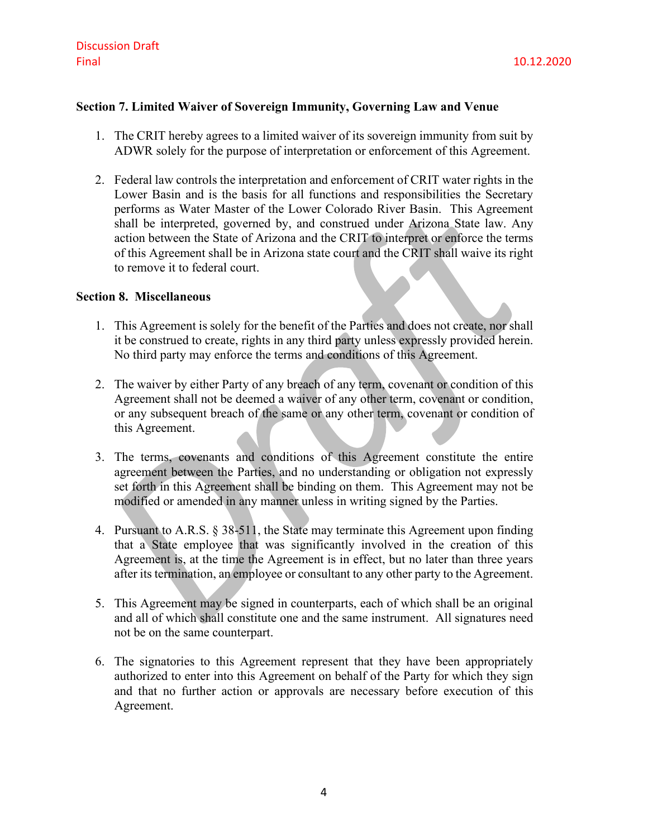## **Section 7. Limited Waiver of Sovereign Immunity, Governing Law and Venue**

- 1. The CRIT hereby agrees to a limited waiver of its sovereign immunity from suit by ADWR solely for the purpose of interpretation or enforcement of this Agreement.
- 2. Federal law controls the interpretation and enforcement of CRIT water rights in the Lower Basin and is the basis for all functions and responsibilities the Secretary performs as Water Master of the Lower Colorado River Basin. This Agreement shall be interpreted, governed by, and construed under Arizona State law. Any action between the State of Arizona and the CRIT to interpret or enforce the terms of this Agreement shall be in Arizona state court and the CRIT shall waive its right to remove it to federal court.

#### **Section 8. Miscellaneous**

- 1. This Agreement is solely for the benefit of the Parties and does not create, nor shall it be construed to create, rights in any third party unless expressly provided herein. No third party may enforce the terms and conditions of this Agreement.
- 2. The waiver by either Party of any breach of any term, covenant or condition of this Agreement shall not be deemed a waiver of any other term, covenant or condition, or any subsequent breach of the same or any other term, covenant or condition of this Agreement.
- 3. The terms, covenants and conditions of this Agreement constitute the entire agreement between the Parties, and no understanding or obligation not expressly set forth in this Agreement shall be binding on them. This Agreement may not be modified or amended in any manner unless in writing signed by the Parties.
- 4. Pursuant to A.R.S. § 38-511, the State may terminate this Agreement upon finding that a State employee that was significantly involved in the creation of this Agreement is, at the time the Agreement is in effect, but no later than three years after its termination, an employee or consultant to any other party to the Agreement.
- 5. This Agreement may be signed in counterparts, each of which shall be an original and all of which shall constitute one and the same instrument. All signatures need not be on the same counterpart.
- 6. The signatories to this Agreement represent that they have been appropriately authorized to enter into this Agreement on behalf of the Party for which they sign and that no further action or approvals are necessary before execution of this Agreement.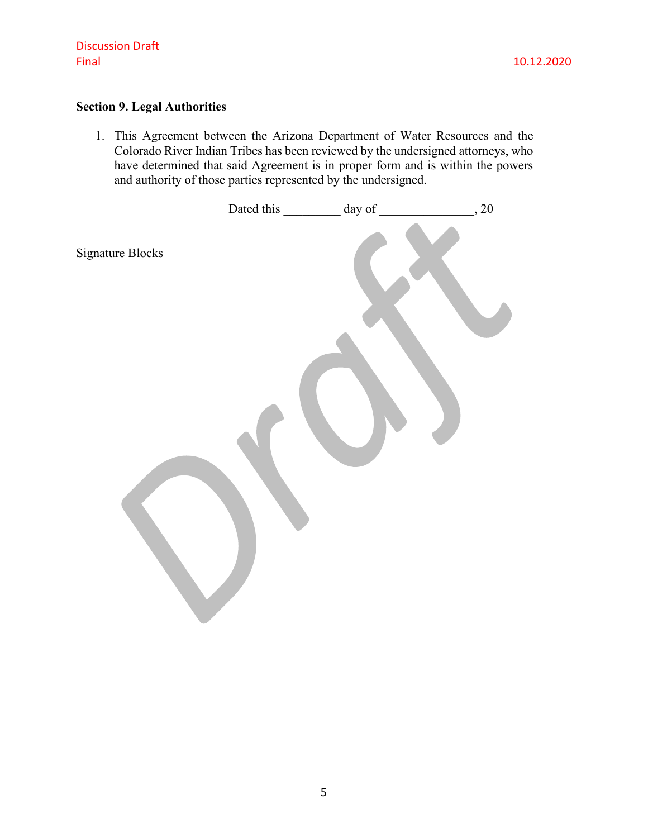# **Section 9. Legal Authorities**

1. This Agreement between the Arizona Department of Water Resources and the Colorado River Indian Tribes has been reviewed by the undersigned attorneys, who have determined that said Agreement is in proper form and is within the powers and authority of those parties represented by the undersigned.

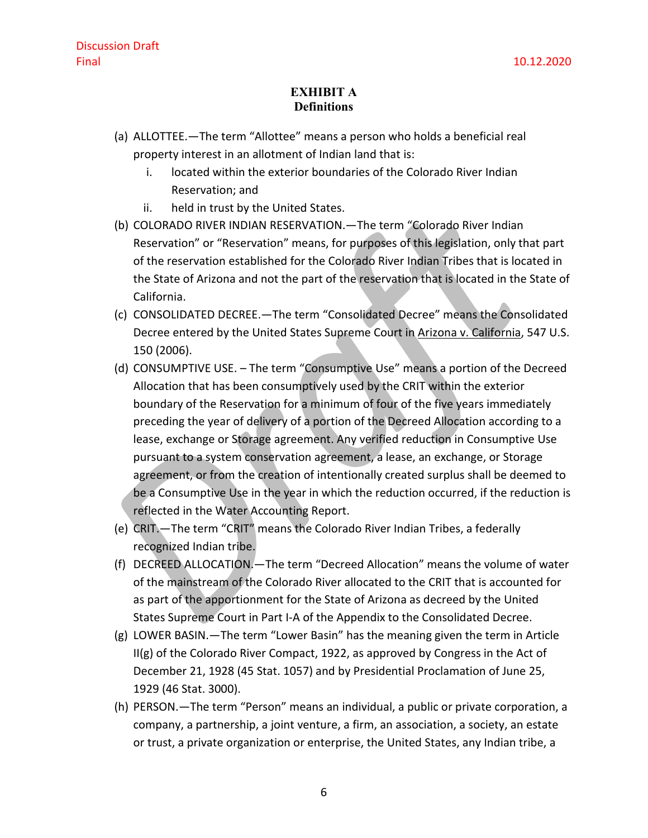## **EXHIBIT A Definitions**

- (a) ALLOTTEE.—The term "Allottee" means a person who holds a beneficial real property interest in an allotment of Indian land that is:
	- i. located within the exterior boundaries of the Colorado River Indian Reservation; and
	- ii. held in trust by the United States.
- (b) COLORADO RIVER INDIAN RESERVATION.—The term "Colorado River Indian Reservation" or "Reservation" means, for purposes of this legislation, only that part of the reservation established for the Colorado River Indian Tribes that is located in the State of Arizona and not the part of the reservation that is located in the State of California.
- (c) CONSOLIDATED DECREE.—The term "Consolidated Decree" means the Consolidated Decree entered by the United States Supreme Court in Arizona v. California, 547 U.S. 150 (2006).
- (d) CONSUMPTIVE USE. The term "Consumptive Use" means a portion of the Decreed Allocation that has been consumptively used by the CRIT within the exterior boundary of the Reservation for a minimum of four of the five years immediately preceding the year of delivery of a portion of the Decreed Allocation according to a lease, exchange or Storage agreement. Any verified reduction in Consumptive Use pursuant to a system conservation agreement, a lease, an exchange, or Storage agreement, or from the creation of intentionally created surplus shall be deemed to be a Consumptive Use in the year in which the reduction occurred, if the reduction is reflected in the Water Accounting Report.
- (e) CRIT.—The term "CRIT" means the Colorado River Indian Tribes, a federally recognized Indian tribe.
- (f) DECREED ALLOCATION.—The term "Decreed Allocation" means the volume of water of the mainstream of the Colorado River allocated to the CRIT that is accounted for as part of the apportionment for the State of Arizona as decreed by the United States Supreme Court in Part I-A of the Appendix to the Consolidated Decree.
- (g) LOWER BASIN.—The term "Lower Basin" has the meaning given the term in Article II(g) of the Colorado River Compact, 1922, as approved by Congress in the Act of December 21, 1928 (45 Stat. 1057) and by Presidential Proclamation of June 25, 1929 (46 Stat. 3000).
- (h) PERSON.—The term "Person" means an individual, a public or private corporation, a company, a partnership, a joint venture, a firm, an association, a society, an estate or trust, a private organization or enterprise, the United States, any Indian tribe, a